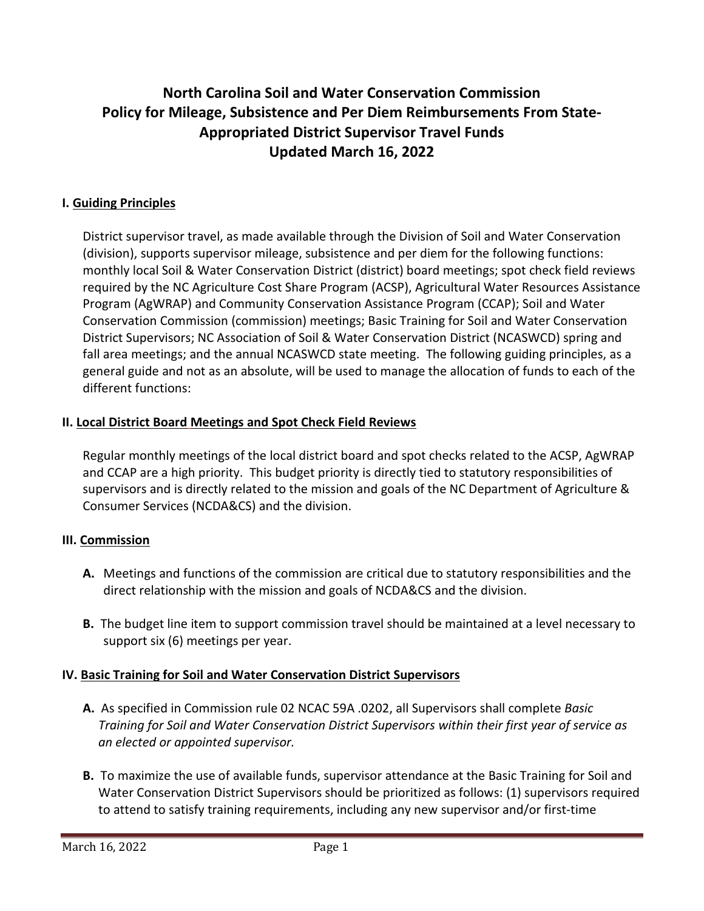# **North Carolina Soil and Water Conservation Commission Policy for Mileage, Subsistence and Per Diem Reimbursements From State-Appropriated District Supervisor Travel Funds Updated March 16, 2022**

# **I. Guiding Principles**

District supervisor travel, as made available through the Division of Soil and Water Conservation (division), supports supervisor mileage, subsistence and per diem for the following functions: monthly local Soil & Water Conservation District (district) board meetings; spot check field reviews required by the NC Agriculture Cost Share Program (ACSP), Agricultural Water Resources Assistance Program (AgWRAP) and Community Conservation Assistance Program (CCAP); Soil and Water Conservation Commission (commission) meetings; Basic Training for Soil and Water Conservation District Supervisors; NC Association of Soil & Water Conservation District (NCASWCD) spring and fall area meetings; and the annual NCASWCD state meeting. The following guiding principles, as a general guide and not as an absolute, will be used to manage the allocation of funds to each of the different functions:

#### **II. Local District Board Meetings and Spot Check Field Reviews**

Regular monthly meetings of the local district board and spot checks related to the ACSP, AgWRAP and CCAP are a high priority. This budget priority is directly tied to statutory responsibilities of supervisors and is directly related to the mission and goals of the NC Department of Agriculture & Consumer Services (NCDA&CS) and the division.

#### **III. Commission**

- **A.** Meetings and functions of the commission are critical due to statutory responsibilities and the direct relationship with the mission and goals of NCDA&CS and the division.
- **B.** The budget line item to support commission travel should be maintained at a level necessary to support six (6) meetings per year.

#### **IV. Basic Training for Soil and Water Conservation District Supervisors**

- **A.** As specified in Commission rule 02 NCAC 59A .0202, all Supervisors shall complete *Basic Training for Soil and Water Conservation District Supervisors within their first year of service as an elected or appointed supervisor.*
- **B.** To maximize the use of available funds, supervisor attendance at the Basic Training for Soil and Water Conservation District Supervisors should be prioritized as follows: (1) supervisors required to attend to satisfy training requirements, including any new supervisor and/or first-time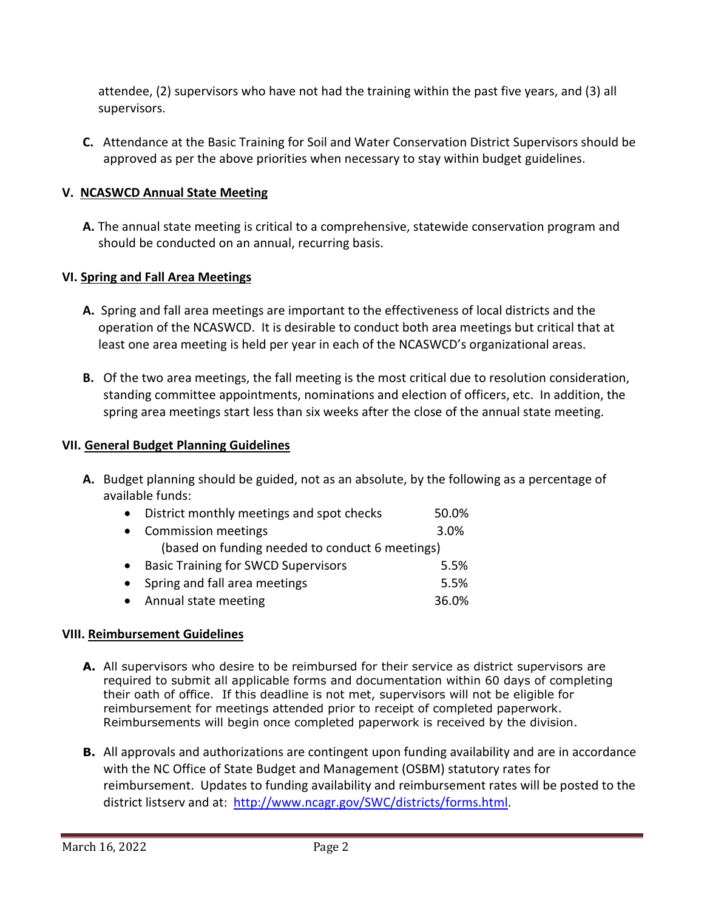attendee, (2) supervisors who have not had the training within the past five years, and (3) all supervisors.

**C.** Attendance at the Basic Training for Soil and Water Conservation District Supervisors should be approved as per the above priorities when necessary to stay within budget guidelines.

# **V. NCASWCD Annual State Meeting**

**A.** The annual state meeting is critical to a comprehensive, statewide conservation program and should be conducted on an annual, recurring basis.

#### **VI. Spring and Fall Area Meetings**

- **A.** Spring and fall area meetings are important to the effectiveness of local districts and the operation of the NCASWCD. It is desirable to conduct both area meetings but critical that at least one area meeting is held per year in each of the NCASWCD's organizational areas.
- **B.** Of the two area meetings, the fall meeting is the most critical due to resolution consideration, standing committee appointments, nominations and election of officers, etc. In addition, the spring area meetings start less than six weeks after the close of the annual state meeting.

#### **VII. General Budget Planning Guidelines**

**A.** Budget planning should be guided, not as an absolute, by the following as a percentage of available funds:

| $\bullet$ | District monthly meetings and spot checks       | 50.0% |
|-----------|-------------------------------------------------|-------|
| $\bullet$ | <b>Commission meetings</b>                      | 3.0%  |
|           | (based on funding needed to conduct 6 meetings) |       |
| $\bullet$ | <b>Basic Training for SWCD Supervisors</b>      | 5.5%  |
| $\bullet$ | Spring and fall area meetings                   | 5.5%  |
|           | • Annual state meeting                          | 36.0% |

#### **VIII. Reimbursement Guidelines**

- **A.** All supervisors who desire to be reimbursed for their service as district supervisors are required to submit all applicable forms and documentation within 60 days of completing their oath of office. If this deadline is not met, supervisors will not be eligible for reimbursement for meetings attended prior to receipt of completed paperwork. Reimbursements will begin once completed paperwork is received by the division.
- **B.** All approvals and authorizations are contingent upon funding availability and are in accordance with the NC Office of State Budget and Management (OSBM) statutory rates for reimbursement. Updates to funding availability and reimbursement rates will be posted to the district listserv and at: http://www.ncagr.gov/SWC/districts/forms.html.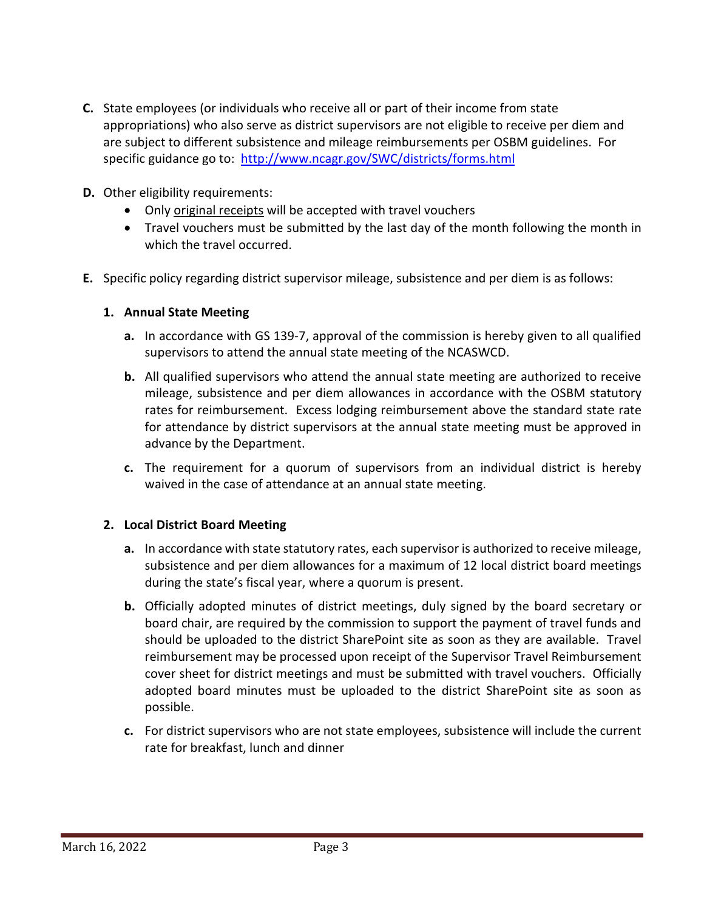- **C.** State employees (or individuals who receive all or part of their income from state appropriations) who also serve as district supervisors are not eligible to receive per diem and are subject to different subsistence and mileage reimbursements per OSBM guidelines. For specific guidance go to: http://www.ncagr.gov/SWC/districts/forms.html
- **D.** Other eligibility requirements:
	- Only original receipts will be accepted with travel vouchers
	- Travel vouchers must be submitted by the last day of the month following the month in which the travel occurred.
- **E.** Specific policy regarding district supervisor mileage, subsistence and per diem is as follows:

#### **1. Annual State Meeting**

- **a.** In accordance with GS 139-7, approval of the commission is hereby given to all qualified supervisors to attend the annual state meeting of the NCASWCD.
- **b.** All qualified supervisors who attend the annual state meeting are authorized to receive mileage, subsistence and per diem allowances in accordance with the OSBM statutory rates for reimbursement. Excess lodging reimbursement above the standard state rate for attendance by district supervisors at the annual state meeting must be approved in advance by the Department.
- **c.** The requirement for a quorum of supervisors from an individual district is hereby waived in the case of attendance at an annual state meeting.

#### **2. Local District Board Meeting**

- **a.** In accordance with state statutory rates, each supervisor is authorized to receive mileage, subsistence and per diem allowances for a maximum of 12 local district board meetings during the state's fiscal year, where a quorum is present.
- **b.** Officially adopted minutes of district meetings, duly signed by the board secretary or board chair, are required by the commission to support the payment of travel funds and should be uploaded to the district SharePoint site as soon as they are available. Travel reimbursement may be processed upon receipt of the Supervisor Travel Reimbursement cover sheet for district meetings and must be submitted with travel vouchers. Officially adopted board minutes must be uploaded to the district SharePoint site as soon as possible.
- **c.** For district supervisors who are not state employees, subsistence will include the current rate for breakfast, lunch and dinner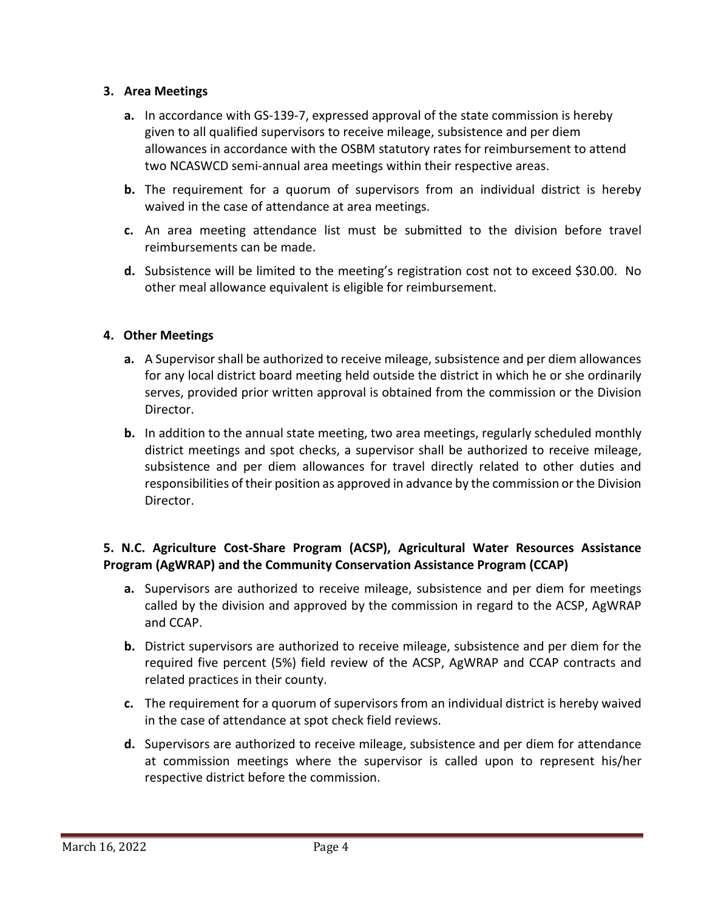## **3. Area Meetings**

- **a.** In accordance with GS-139-7, expressed approval of the state commission is hereby given to all qualified supervisors to receive mileage, subsistence and per diem allowances in accordance with the OSBM statutory rates for reimbursement to attend two NCASWCD semi-annual area meetings within their respective areas.
- **b.** The requirement for a quorum of supervisors from an individual district is hereby waived in the case of attendance at area meetings.
- **c.** An area meeting attendance list must be submitted to the division before travel reimbursements can be made.
- **d.** Subsistence will be limited to the meeting's registration cost not to exceed \$30.00. No other meal allowance equivalent is eligible for reimbursement.

## **4. Other Meetings**

- **a.** A Supervisor shall be authorized to receive mileage, subsistence and per diem allowances for any local district board meeting held outside the district in which he or she ordinarily serves, provided prior written approval is obtained from the commission or the Division Director.
- **b.** In addition to the annual state meeting, two area meetings, regularly scheduled monthly district meetings and spot checks, a supervisor shall be authorized to receive mileage, subsistence and per diem allowances for travel directly related to other duties and responsibilities of their position as approved in advance by the commission or the Division Director.

# **5. N.C. Agriculture Cost-Share Program (ACSP), Agricultural Water Resources Assistance Program (AgWRAP) and the Community Conservation Assistance Program (CCAP)**

- **a.** Supervisors are authorized to receive mileage, subsistence and per diem for meetings called by the division and approved by the commission in regard to the ACSP, AgWRAP and CCAP.
- **b.** District supervisors are authorized to receive mileage, subsistence and per diem for the required five percent (5%) field review of the ACSP, AgWRAP and CCAP contracts and related practices in their county.
- **c.** The requirement for a quorum of supervisors from an individual district is hereby waived in the case of attendance at spot check field reviews.
- **d.** Supervisors are authorized to receive mileage, subsistence and per diem for attendance at commission meetings where the supervisor is called upon to represent his/her respective district before the commission.